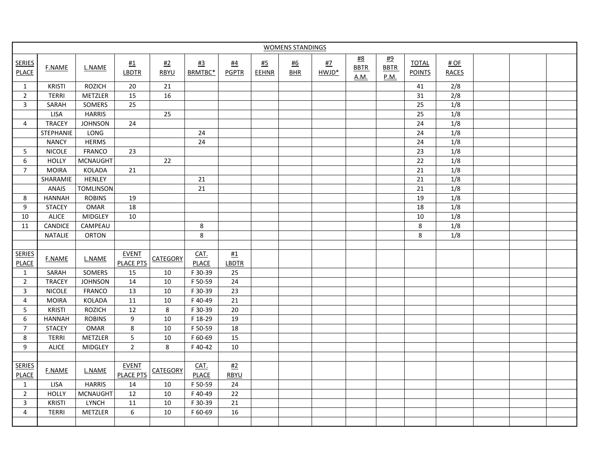| <b>WOMENS STANDINGS</b>       |                |                  |                           |                 |               |                           |                    |                         |                    |                           |                                         |                               |                        |  |
|-------------------------------|----------------|------------------|---------------------------|-----------------|---------------|---------------------------|--------------------|-------------------------|--------------------|---------------------------|-----------------------------------------|-------------------------------|------------------------|--|
| <b>SERIES</b><br>PLACE        | <b>F.NAME</b>  | L.NAME           | #1<br>LBDTR               | #2<br>RBYU      | #3<br>BRMTBC* | <u>#4</u><br><b>PGPTR</b> | <u>#5</u><br>EEHNR | <u>#6</u><br><b>BHR</b> | <u>#7</u><br>HWJD* | #8<br><b>BBTR</b><br>A.M. | <u>#9</u><br><b>BBTR</b><br><u>P.M.</u> | <b>TOTAL</b><br><b>POINTS</b> | $#$ OF<br><b>RACES</b> |  |
| $\mathbf{1}$                  | <b>KRISTI</b>  | <b>ROZICH</b>    | 20                        | 21              |               |                           |                    |                         |                    |                           |                                         | 41                            | 2/8                    |  |
| $\overline{2}$                | <b>TERRI</b>   | METZLER          | 15                        | 16              |               |                           |                    |                         |                    |                           |                                         | 31                            | 2/8                    |  |
| 3                             | SARAH          | SOMERS           | 25                        |                 |               |                           |                    |                         |                    |                           |                                         | 25                            | $1/8$                  |  |
|                               | <b>LISA</b>    | <b>HARRIS</b>    |                           | 25              |               |                           |                    |                         |                    |                           |                                         | 25                            | 1/8                    |  |
| 4                             | <b>TRACEY</b>  | <b>JOHNSON</b>   | 24                        |                 |               |                           |                    |                         |                    |                           |                                         | $24$                          | 1/8                    |  |
|                               | STEPHANIE      | LONG             |                           |                 | 24            |                           |                    |                         |                    |                           |                                         | $\overline{24}$               | 1/8                    |  |
|                               | <b>NANCY</b>   | <b>HERMS</b>     |                           |                 | 24            |                           |                    |                         |                    |                           |                                         | 24                            | 1/8                    |  |
| 5                             | <b>NICOLE</b>  | FRANCO           | 23                        |                 |               |                           |                    |                         |                    |                           |                                         | 23                            | 1/8                    |  |
| 6                             | <b>HOLLY</b>   | <b>MCNAUGHT</b>  |                           | 22              |               |                           |                    |                         |                    |                           |                                         | 22                            | 1/8                    |  |
| $\overline{7}$                | <b>MOIRA</b>   | KOLADA           | 21                        |                 |               |                           |                    |                         |                    |                           |                                         | 21                            | 1/8                    |  |
|                               | SHARAMIE       | <b>HENLEY</b>    |                           |                 | 21            |                           |                    |                         |                    |                           |                                         | $\overline{21}$               | $\overline{1/8}$       |  |
|                               | ANAIS          | <b>TOMLINSON</b> |                           |                 | 21            |                           |                    |                         |                    |                           |                                         | 21                            | 1/8                    |  |
| 8                             | <b>HANNAH</b>  | <b>ROBINS</b>    | 19                        |                 |               |                           |                    |                         |                    |                           |                                         | 19                            | 1/8                    |  |
| 9                             | <b>STACEY</b>  | <b>OMAR</b>      | 18                        |                 |               |                           |                    |                         |                    |                           |                                         | 18                            | 1/8                    |  |
| 10                            | ALICE          | MIDGLEY          | $10\,$                    |                 |               |                           |                    |                         |                    |                           |                                         | $10\,$                        | 1/8                    |  |
| 11                            | CANDICE        | CAMPEAU          |                           |                 | 8             |                           |                    |                         |                    |                           |                                         | 8                             | 1/8                    |  |
|                               | <b>NATALIE</b> | ORTON            |                           |                 | 8             |                           |                    |                         |                    |                           |                                         | 8                             | 1/8                    |  |
|                               |                |                  |                           |                 |               |                           |                    |                         |                    |                           |                                         |                               |                        |  |
| <b>SERIES</b>                 | <b>F.NAME</b>  | L.NAME           | <b>EVENT</b>              | <b>CATEGORY</b> | CAT.          | $\frac{\#1}{\#2}$         |                    |                         |                    |                           |                                         |                               |                        |  |
| <b>PLACE</b>                  |                |                  | <b>PLACE PTS</b>          |                 | <b>PLACE</b>  | <b>LBDTR</b>              |                    |                         |                    |                           |                                         |                               |                        |  |
| $\mathbf{1}$                  | SARAH          | SOMERS           | 15                        | 10              | F 30-39       | 25                        |                    |                         |                    |                           |                                         |                               |                        |  |
| $\mathbf 2$                   | <b>TRACEY</b>  | <b>JOHNSON</b>   | 14                        | 10              | F 50-59       | 24                        |                    |                         |                    |                           |                                         |                               |                        |  |
| 3                             | <b>NICOLE</b>  | <b>FRANCO</b>    | 13                        | $10\,$          | F 30-39       | 23                        |                    |                         |                    |                           |                                         |                               |                        |  |
| 4                             | <b>MOIRA</b>   | KOLADA           | 11                        | 10              | F 40-49       | 21                        |                    |                         |                    |                           |                                         |                               |                        |  |
| 5                             | <b>KRISTI</b>  | <b>ROZICH</b>    | 12                        | 8               | F 30-39       | 20                        |                    |                         |                    |                           |                                         |                               |                        |  |
| 6                             | <b>HANNAH</b>  | <b>ROBINS</b>    | 9                         | 10              | F 18-29       | 19                        |                    |                         |                    |                           |                                         |                               |                        |  |
| $\overline{7}$                | <b>STACEY</b>  | <b>OMAR</b>      | 8                         | 10              | F 50-59       | 18                        |                    |                         |                    |                           |                                         |                               |                        |  |
| 8                             | <b>TERRI</b>   | METZLER          | 5                         | $10\,$          | F 60-69       | 15                        |                    |                         |                    |                           |                                         |                               |                        |  |
| 9                             | <b>ALICE</b>   | <b>MIDGLEY</b>   | $\overline{2}$            | 8               | F 40-42       | 10                        |                    |                         |                    |                           |                                         |                               |                        |  |
|                               |                |                  |                           |                 |               |                           |                    |                         |                    |                           |                                         |                               |                        |  |
| <b>SERIES</b><br><b>PLACE</b> | <b>F.NAME</b>  | L.NAME           | <b>EVENT</b><br>PLACE PTS | <b>CATEGORY</b> | CAT.<br>PLACE | #2<br><b>RBYU</b>         |                    |                         |                    |                           |                                         |                               |                        |  |
| $\mathbf{1}$                  | <b>LISA</b>    | <b>HARRIS</b>    | 14                        | 10              | F 50-59       | 24                        |                    |                         |                    |                           |                                         |                               |                        |  |
| $\overline{2}$                | <b>HOLLY</b>   | <b>MCNAUGHT</b>  | 12                        | 10              | F 40-49       | 22                        |                    |                         |                    |                           |                                         |                               |                        |  |
| 3                             | <b>KRISTI</b>  | <b>LYNCH</b>     | 11                        | 10              | F 30-39       | 21                        |                    |                         |                    |                           |                                         |                               |                        |  |
| $\overline{4}$                | <b>TERRI</b>   | METZLER          | 6                         | 10              | F 60-69       | 16                        |                    |                         |                    |                           |                                         |                               |                        |  |
|                               |                |                  |                           |                 |               |                           |                    |                         |                    |                           |                                         |                               |                        |  |